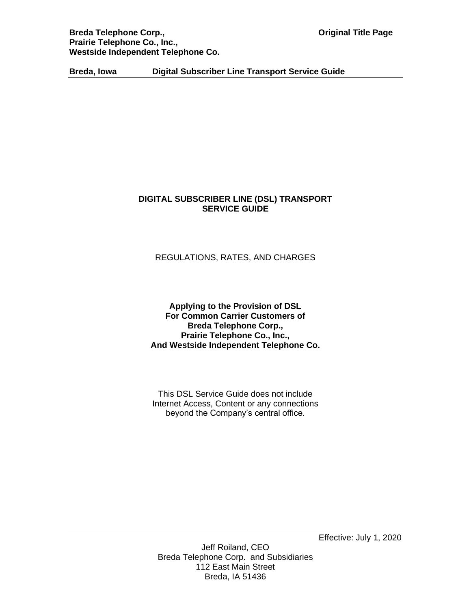**Breda Telephone Corp., The Corpus Corp Constant Corpus Corpus Corpus Corpus Corpus Corpus Corpus Corpus Corpus Corpus Corpus Corpus Corpus Corpus Corpus Corpus Corpus Corpus Corpus Corpus Corpus Corpus Corpus Corpus Corpu Prairie Telephone Co., Inc., Westside Independent Telephone Co.**

**Breda, Iowa Digital Subscriber Line Transport Service Guide**

# **DIGITAL SUBSCRIBER LINE (DSL) TRANSPORT SERVICE GUIDE**

# REGULATIONS, RATES, AND CHARGES

### **Applying to the Provision of DSL For Common Carrier Customers of Breda Telephone Corp., Prairie Telephone Co., Inc., And Westside Independent Telephone Co.**

This DSL Service Guide does not include Internet Access, Content or any connections beyond the Company's central office.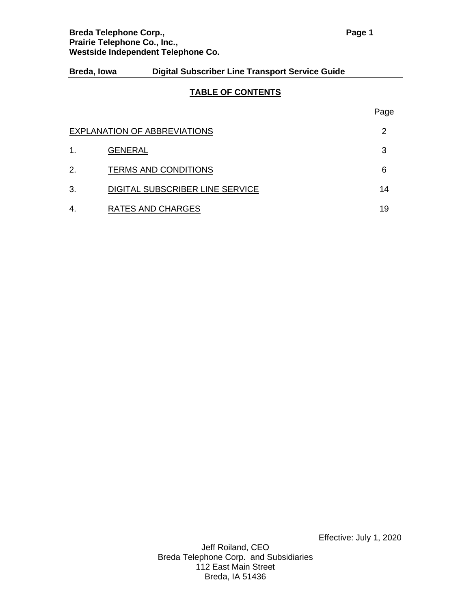### **TABLE OF CONTENTS**

|    | EXPLANATION OF ABBREVIATIONS    | 2  |
|----|---------------------------------|----|
| 1. | <b>GENERAL</b>                  | 3  |
| 2. | <b>TERMS AND CONDITIONS</b>     | 6  |
| 3. | DIGITAL SUBSCRIBER LINE SERVICE | 14 |
| 4. | RATES AND CHARGES               | 19 |

Page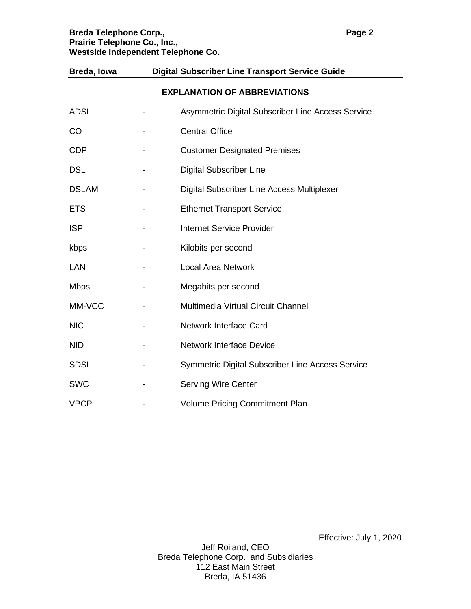# **Breda Telephone Corp., <b>Page 2 Prairie Telephone Co., Inc., Westside Independent Telephone Co.**

| <b>EXPLANATION OF ABBREVIATIONS</b> |  |                                                         |  |
|-------------------------------------|--|---------------------------------------------------------|--|
| <b>ADSL</b>                         |  | Asymmetric Digital Subscriber Line Access Service       |  |
| CO                                  |  | <b>Central Office</b>                                   |  |
| <b>CDP</b>                          |  | <b>Customer Designated Premises</b>                     |  |
| <b>DSL</b>                          |  | <b>Digital Subscriber Line</b>                          |  |
| <b>DSLAM</b>                        |  | <b>Digital Subscriber Line Access Multiplexer</b>       |  |
| <b>ETS</b>                          |  | <b>Ethernet Transport Service</b>                       |  |
| <b>ISP</b>                          |  | <b>Internet Service Provider</b>                        |  |
| kbps                                |  | Kilobits per second                                     |  |
| LAN                                 |  | <b>Local Area Network</b>                               |  |
| <b>Mbps</b>                         |  | Megabits per second                                     |  |
| MM-VCC                              |  | Multimedia Virtual Circuit Channel                      |  |
| <b>NIC</b>                          |  | <b>Network Interface Card</b>                           |  |
| <b>NID</b>                          |  | <b>Network Interface Device</b>                         |  |
| <b>SDSL</b>                         |  | <b>Symmetric Digital Subscriber Line Access Service</b> |  |
| <b>SWC</b>                          |  | <b>Serving Wire Center</b>                              |  |
| <b>VPCP</b>                         |  | <b>Volume Pricing Commitment Plan</b>                   |  |

**Breda, Iowa Digital Subscriber Line Transport Service Guide**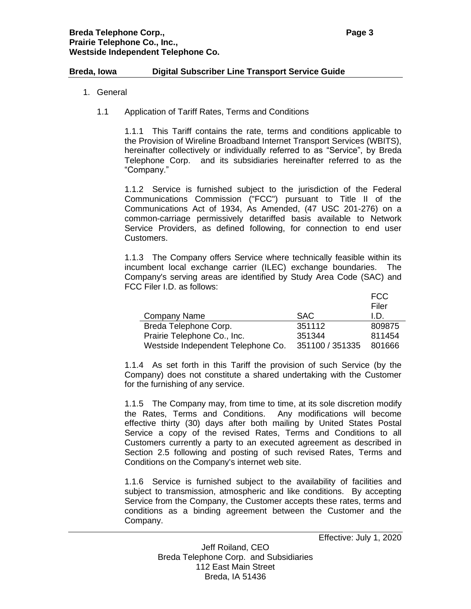- 1. General
	- 1.1 Application of Tariff Rates, Terms and Conditions

1.1.1 This Tariff contains the rate, terms and conditions applicable to the Provision of Wireline Broadband Internet Transport Services (WBITS), hereinafter collectively or individually referred to as "Service", by Breda Telephone Corp. and its subsidiaries hereinafter referred to as the "Company."

1.1.2 Service is furnished subject to the jurisdiction of the Federal Communications Commission ("FCC") pursuant to Title II of the Communications Act of 1934, As Amended, (47 USC 201-276) on a common-carriage permissively detariffed basis available to Network Service Providers, as defined following, for connection to end user Customers.

1.1.3 The Company offers Service where technically feasible within its incumbent local exchange carrier (ILEC) exchange boundaries. The Company's serving areas are identified by Study Area Code (SAC) and FCC Filer I.D. as follows:

|                                    |                 | <b>FCC</b> |
|------------------------------------|-----------------|------------|
|                                    |                 | Filer      |
| Company Name                       | <b>SAC</b>      | I.D.       |
| Breda Telephone Corp.              | 351112          | 809875     |
| Prairie Telephone Co., Inc.        | 351344          | 811454     |
| Westside Independent Telephone Co. | 351100 / 351335 | 801666     |

1.1.4 As set forth in this Tariff the provision of such Service (by the Company) does not constitute a shared undertaking with the Customer for the furnishing of any service.

1.1.5 The Company may, from time to time, at its sole discretion modify the Rates, Terms and Conditions. Any modifications will become effective thirty (30) days after both mailing by United States Postal Service a copy of the revised Rates, Terms and Conditions to all Customers currently a party to an executed agreement as described in Section 2.5 following and posting of such revised Rates, Terms and Conditions on the Company's internet web site.

1.1.6 Service is furnished subject to the availability of facilities and subject to transmission, atmospheric and like conditions. By accepting Service from the Company, the Customer accepts these rates, terms and conditions as a binding agreement between the Customer and the Company.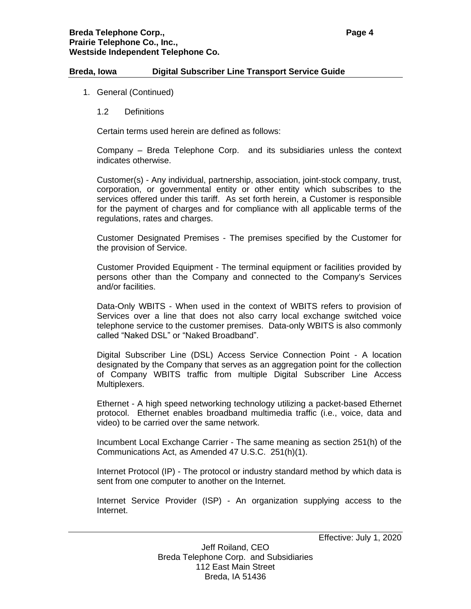- 1. General (Continued)
	- 1.2 Definitions

Certain terms used herein are defined as follows:

Company – Breda Telephone Corp. and its subsidiaries unless the context indicates otherwise.

Customer(s) - Any individual, partnership, association, joint-stock company, trust, corporation, or governmental entity or other entity which subscribes to the services offered under this tariff. As set forth herein, a Customer is responsible for the payment of charges and for compliance with all applicable terms of the regulations, rates and charges.

Customer Designated Premises - The premises specified by the Customer for the provision of Service.

Customer Provided Equipment - The terminal equipment or facilities provided by persons other than the Company and connected to the Company's Services and/or facilities.

Data-Only WBITS - When used in the context of WBITS refers to provision of Services over a line that does not also carry local exchange switched voice telephone service to the customer premises. Data-only WBITS is also commonly called "Naked DSL" or "Naked Broadband".

Digital Subscriber Line (DSL) Access Service Connection Point - A location designated by the Company that serves as an aggregation point for the collection of Company WBITS traffic from multiple Digital Subscriber Line Access Multiplexers.

Ethernet - A high speed networking technology utilizing a packet-based Ethernet protocol. Ethernet enables broadband multimedia traffic (i.e., voice, data and video) to be carried over the same network.

Incumbent Local Exchange Carrier - The same meaning as section 251(h) of the Communications Act, as Amended 47 U.S.C. 251(h)(1).

Internet Protocol (IP) - The protocol or industry standard method by which data is sent from one computer to another on the Internet.

Internet Service Provider (ISP) - An organization supplying access to the Internet.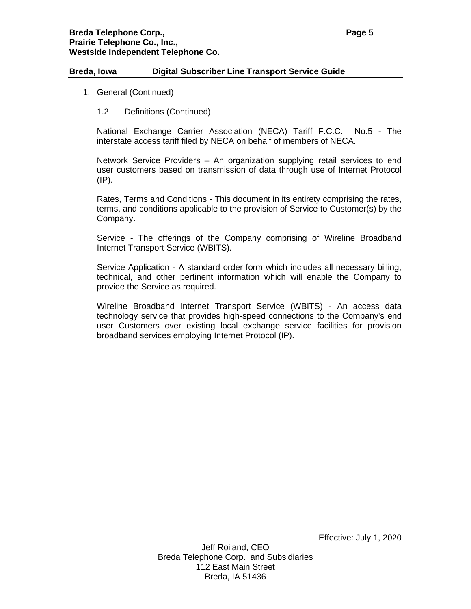- 1. General (Continued)
	- 1.2 Definitions (Continued)

National Exchange Carrier Association (NECA) Tariff F.C.C. No.5 - The interstate access tariff filed by NECA on behalf of members of NECA.

Network Service Providers – An organization supplying retail services to end user customers based on transmission of data through use of Internet Protocol  $(IP)$ .

Rates, Terms and Conditions - This document in its entirety comprising the rates, terms, and conditions applicable to the provision of Service to Customer(s) by the Company.

Service - The offerings of the Company comprising of Wireline Broadband Internet Transport Service (WBITS).

Service Application - A standard order form which includes all necessary billing, technical, and other pertinent information which will enable the Company to provide the Service as required.

Wireline Broadband Internet Transport Service (WBITS) - An access data technology service that provides high-speed connections to the Company's end user Customers over existing local exchange service facilities for provision broadband services employing Internet Protocol (IP).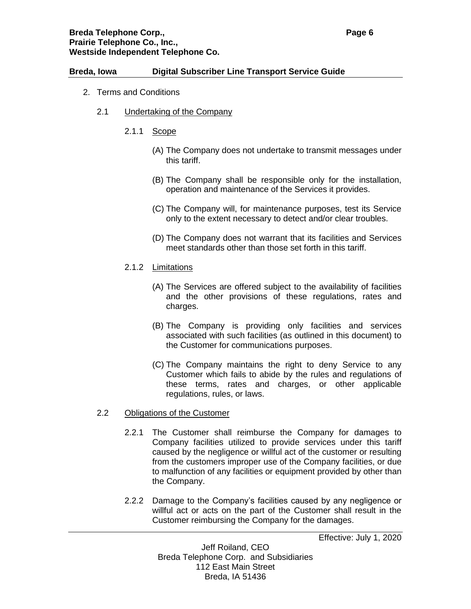## **Breda Telephone Corp., Page 6 Prairie Telephone Co., Inc., Westside Independent Telephone Co.**

### **Breda, Iowa Digital Subscriber Line Transport Service Guide**

- 2. Terms and Conditions
	- 2.1 Undertaking of the Company
		- 2.1.1 Scope
			- (A) The Company does not undertake to transmit messages under this tariff.
			- (B) The Company shall be responsible only for the installation, operation and maintenance of the Services it provides.
			- (C) The Company will, for maintenance purposes, test its Service only to the extent necessary to detect and/or clear troubles.
			- (D) The Company does not warrant that its facilities and Services meet standards other than those set forth in this tariff.
		- 2.1.2 Limitations
			- (A) The Services are offered subject to the availability of facilities and the other provisions of these regulations, rates and charges.
			- (B) The Company is providing only facilities and services associated with such facilities (as outlined in this document) to the Customer for communications purposes.
			- (C) The Company maintains the right to deny Service to any Customer which fails to abide by the rules and regulations of these terms, rates and charges, or other applicable regulations, rules, or laws.

## 2.2 Obligations of the Customer

- 2.2.1 The Customer shall reimburse the Company for damages to Company facilities utilized to provide services under this tariff caused by the negligence or willful act of the customer or resulting from the customers improper use of the Company facilities, or due to malfunction of any facilities or equipment provided by other than the Company.
- 2.2.2 Damage to the Company's facilities caused by any negligence or willful act or acts on the part of the Customer shall result in the Customer reimbursing the Company for the damages.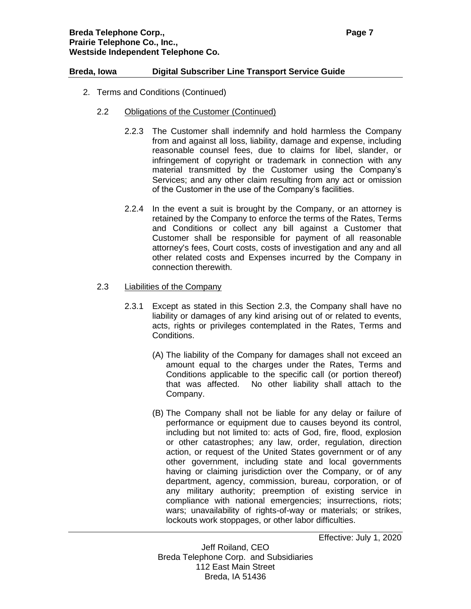- 2. Terms and Conditions (Continued)
	- 2.2 Obligations of the Customer (Continued)
		- 2.2.3 The Customer shall indemnify and hold harmless the Company from and against all loss, liability, damage and expense, including reasonable counsel fees, due to claims for libel, slander, or infringement of copyright or trademark in connection with any material transmitted by the Customer using the Company's Services; and any other claim resulting from any act or omission of the Customer in the use of the Company's facilities.
		- 2.2.4 In the event a suit is brought by the Company, or an attorney is retained by the Company to enforce the terms of the Rates, Terms and Conditions or collect any bill against a Customer that Customer shall be responsible for payment of all reasonable attorney's fees, Court costs, costs of investigation and any and all other related costs and Expenses incurred by the Company in connection therewith.
	- 2.3 Liabilities of the Company
		- 2.3.1 Except as stated in this Section 2.3, the Company shall have no liability or damages of any kind arising out of or related to events, acts, rights or privileges contemplated in the Rates, Terms and Conditions.
			- (A) The liability of the Company for damages shall not exceed an amount equal to the charges under the Rates, Terms and Conditions applicable to the specific call (or portion thereof) that was affected. No other liability shall attach to the Company.
			- (B) The Company shall not be liable for any delay or failure of performance or equipment due to causes beyond its control, including but not limited to: acts of God, fire, flood, explosion or other catastrophes; any law, order, regulation, direction action, or request of the United States government or of any other government, including state and local governments having or claiming jurisdiction over the Company, or of any department, agency, commission, bureau, corporation, or of any military authority; preemption of existing service in compliance with national emergencies; insurrections, riots; wars; unavailability of rights-of-way or materials; or strikes, lockouts work stoppages, or other labor difficulties.

Effective: July 1, 2020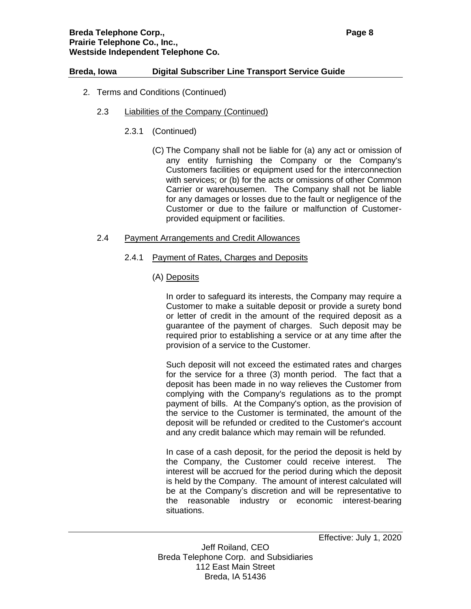### **Breda Telephone Corp., Page 8 Prairie Telephone Co., Inc., Westside Independent Telephone Co.**

### **Breda, Iowa Digital Subscriber Line Transport Service Guide**

- 2. Terms and Conditions (Continued)
	- 2.3 Liabilities of the Company (Continued)
		- 2.3.1 (Continued)
			- (C) The Company shall not be liable for (a) any act or omission of any entity furnishing the Company or the Company's Customers facilities or equipment used for the interconnection with services; or (b) for the acts or omissions of other Common Carrier or warehousemen. The Company shall not be liable for any damages or losses due to the fault or negligence of the Customer or due to the failure or malfunction of Customerprovided equipment or facilities.

## 2.4 Payment Arrangements and Credit Allowances

- 2.4.1 Payment of Rates, Charges and Deposits
	- (A) Deposits

In order to safeguard its interests, the Company may require a Customer to make a suitable deposit or provide a surety bond or letter of credit in the amount of the required deposit as a guarantee of the payment of charges. Such deposit may be required prior to establishing a service or at any time after the provision of a service to the Customer.

Such deposit will not exceed the estimated rates and charges for the service for a three (3) month period. The fact that a deposit has been made in no way relieves the Customer from complying with the Company's regulations as to the prompt payment of bills. At the Company's option, as the provision of the service to the Customer is terminated, the amount of the deposit will be refunded or credited to the Customer's account and any credit balance which may remain will be refunded.

In case of a cash deposit, for the period the deposit is held by the Company, the Customer could receive interest. The interest will be accrued for the period during which the deposit is held by the Company. The amount of interest calculated will be at the Company's discretion and will be representative to the reasonable industry or economic interest-bearing situations.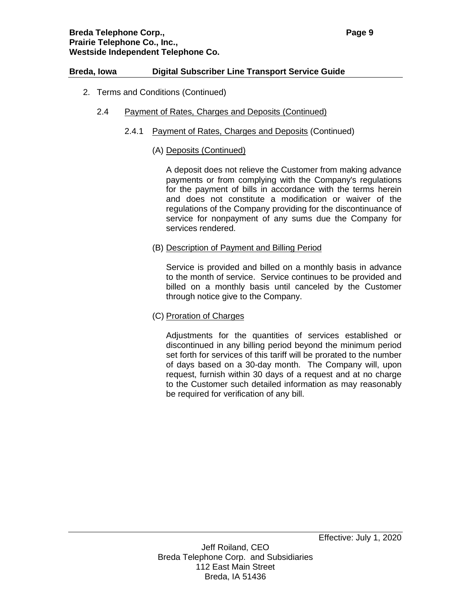### **Breda Telephone Corp., Page 9 Prairie Telephone Co., Inc., Westside Independent Telephone Co.**

## **Breda, Iowa Digital Subscriber Line Transport Service Guide**

- 2. Terms and Conditions (Continued)
	- 2.4 Payment of Rates, Charges and Deposits (Continued)
		- 2.4.1 Payment of Rates, Charges and Deposits (Continued)

### (A) Deposits (Continued)

A deposit does not relieve the Customer from making advance payments or from complying with the Company's regulations for the payment of bills in accordance with the terms herein and does not constitute a modification or waiver of the regulations of the Company providing for the discontinuance of service for nonpayment of any sums due the Company for services rendered.

(B) Description of Payment and Billing Period

Service is provided and billed on a monthly basis in advance to the month of service. Service continues to be provided and billed on a monthly basis until canceled by the Customer through notice give to the Company.

#### (C) Proration of Charges

Adjustments for the quantities of services established or discontinued in any billing period beyond the minimum period set forth for services of this tariff will be prorated to the number of days based on a 30-day month. The Company will, upon request, furnish within 30 days of a request and at no charge to the Customer such detailed information as may reasonably be required for verification of any bill.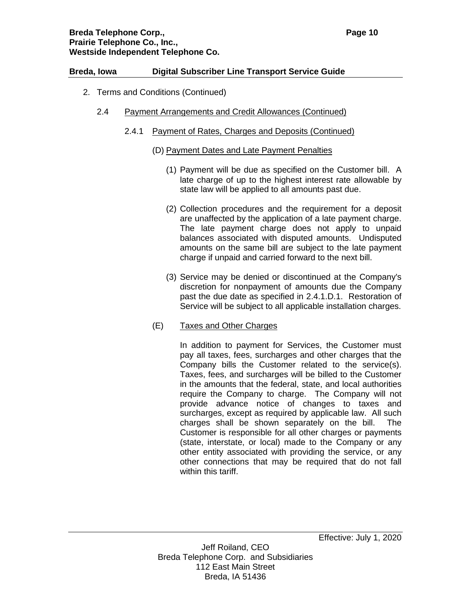- 2. Terms and Conditions (Continued)
	- 2.4 Payment Arrangements and Credit Allowances (Continued)
		- 2.4.1 Payment of Rates, Charges and Deposits (Continued)
			- (D) Payment Dates and Late Payment Penalties
				- (1) Payment will be due as specified on the Customer bill. A late charge of up to the highest interest rate allowable by state law will be applied to all amounts past due.
				- (2) Collection procedures and the requirement for a deposit are unaffected by the application of a late payment charge. The late payment charge does not apply to unpaid balances associated with disputed amounts. Undisputed amounts on the same bill are subject to the late payment charge if unpaid and carried forward to the next bill.
				- (3) Service may be denied or discontinued at the Company's discretion for nonpayment of amounts due the Company past the due date as specified in 2.4.1.D.1. Restoration of Service will be subject to all applicable installation charges.

## (E) Taxes and Other Charges

In addition to payment for Services, the Customer must pay all taxes, fees, surcharges and other charges that the Company bills the Customer related to the service(s). Taxes, fees, and surcharges will be billed to the Customer in the amounts that the federal, state, and local authorities require the Company to charge. The Company will not provide advance notice of changes to taxes and surcharges, except as required by applicable law. All such charges shall be shown separately on the bill. The Customer is responsible for all other charges or payments (state, interstate, or local) made to the Company or any other entity associated with providing the service, or any other connections that may be required that do not fall within this tariff.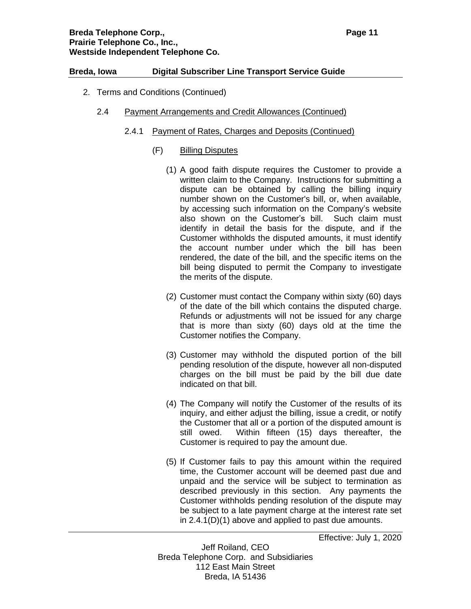- 2. Terms and Conditions (Continued)
	- 2.4 Payment Arrangements and Credit Allowances (Continued)
		- 2.4.1 Payment of Rates, Charges and Deposits (Continued)
			- (F) Billing Disputes
				- (1) A good faith dispute requires the Customer to provide a written claim to the Company. Instructions for submitting a dispute can be obtained by calling the billing inquiry number shown on the Customer's bill, or, when available, by accessing such information on the Company's website also shown on the Customer's bill. Such claim must identify in detail the basis for the dispute, and if the Customer withholds the disputed amounts, it must identify the account number under which the bill has been rendered, the date of the bill, and the specific items on the bill being disputed to permit the Company to investigate the merits of the dispute.
				- (2) Customer must contact the Company within sixty (60) days of the date of the bill which contains the disputed charge. Refunds or adjustments will not be issued for any charge that is more than sixty (60) days old at the time the Customer notifies the Company.
				- (3) Customer may withhold the disputed portion of the bill pending resolution of the dispute, however all non-disputed charges on the bill must be paid by the bill due date indicated on that bill.
				- (4) The Company will notify the Customer of the results of its inquiry, and either adjust the billing, issue a credit, or notify the Customer that all or a portion of the disputed amount is still owed. Within fifteen (15) days thereafter, the Customer is required to pay the amount due.
				- (5) If Customer fails to pay this amount within the required time, the Customer account will be deemed past due and unpaid and the service will be subject to termination as described previously in this section. Any payments the Customer withholds pending resolution of the dispute may be subject to a late payment charge at the interest rate set in 2.4.1(D)(1) above and applied to past due amounts.

Effective: July 1, 2020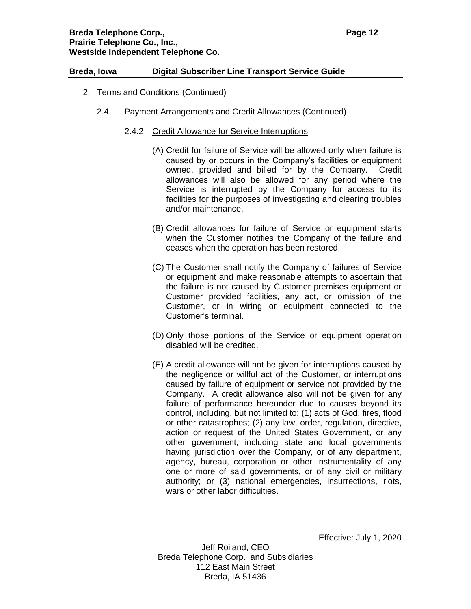- 2. Terms and Conditions (Continued)
	- 2.4 Payment Arrangements and Credit Allowances (Continued)
		- 2.4.2 Credit Allowance for Service Interruptions
			- (A) Credit for failure of Service will be allowed only when failure is caused by or occurs in the Company's facilities or equipment owned, provided and billed for by the Company. Credit allowances will also be allowed for any period where the Service is interrupted by the Company for access to its facilities for the purposes of investigating and clearing troubles and/or maintenance.
			- (B) Credit allowances for failure of Service or equipment starts when the Customer notifies the Company of the failure and ceases when the operation has been restored.
			- (C) The Customer shall notify the Company of failures of Service or equipment and make reasonable attempts to ascertain that the failure is not caused by Customer premises equipment or Customer provided facilities, any act, or omission of the Customer, or in wiring or equipment connected to the Customer's terminal.
			- (D) Only those portions of the Service or equipment operation disabled will be credited.
			- (E) A credit allowance will not be given for interruptions caused by the negligence or willful act of the Customer, or interruptions caused by failure of equipment or service not provided by the Company. A credit allowance also will not be given for any failure of performance hereunder due to causes beyond its control, including, but not limited to: (1) acts of God, fires, flood or other catastrophes; (2) any law, order, regulation, directive, action or request of the United States Government, or any other government, including state and local governments having jurisdiction over the Company, or of any department, agency, bureau, corporation or other instrumentality of any one or more of said governments, or of any civil or military authority; or (3) national emergencies, insurrections, riots, wars or other labor difficulties.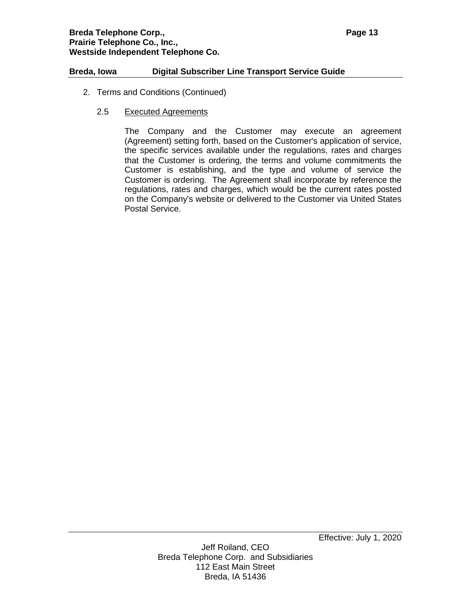- 2. Terms and Conditions (Continued)
	- 2.5 Executed Agreements

The Company and the Customer may execute an agreement (Agreement) setting forth, based on the Customer's application of service, the specific services available under the regulations, rates and charges that the Customer is ordering, the terms and volume commitments the Customer is establishing, and the type and volume of service the Customer is ordering. The Agreement shall incorporate by reference the regulations, rates and charges, which would be the current rates posted on the Company's website or delivered to the Customer via United States Postal Service.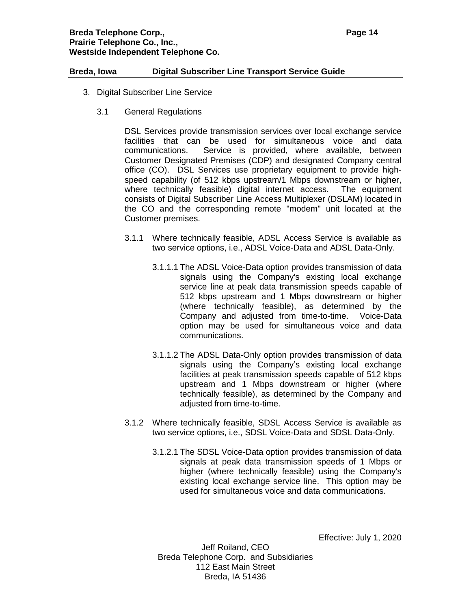- 3. Digital Subscriber Line Service
	- 3.1 General Regulations

DSL Services provide transmission services over local exchange service facilities that can be used for simultaneous voice and data communications. Service is provided, where available, between Customer Designated Premises (CDP) and designated Company central office (CO). DSL Services use proprietary equipment to provide highspeed capability (of 512 kbps upstream/1 Mbps downstream or higher, where technically feasible) digital internet access. The equipment consists of Digital Subscriber Line Access Multiplexer (DSLAM) located in the CO and the corresponding remote "modem" unit located at the Customer premises.

- 3.1.1 Where technically feasible, ADSL Access Service is available as two service options, i.e., ADSL Voice-Data and ADSL Data-Only.
	- 3.1.1.1 The ADSL Voice-Data option provides transmission of data signals using the Company's existing local exchange service line at peak data transmission speeds capable of 512 kbps upstream and 1 Mbps downstream or higher (where technically feasible), as determined by the Company and adjusted from time-to-time. Voice-Data option may be used for simultaneous voice and data communications.
	- 3.1.1.2 The ADSL Data-Only option provides transmission of data signals using the Company's existing local exchange facilities at peak transmission speeds capable of 512 kbps upstream and 1 Mbps downstream or higher (where technically feasible), as determined by the Company and adjusted from time-to-time.
- 3.1.2 Where technically feasible, SDSL Access Service is available as two service options, i.e., SDSL Voice-Data and SDSL Data-Only.
	- 3.1.2.1 The SDSL Voice-Data option provides transmission of data signals at peak data transmission speeds of 1 Mbps or higher (where technically feasible) using the Company's existing local exchange service line. This option may be used for simultaneous voice and data communications.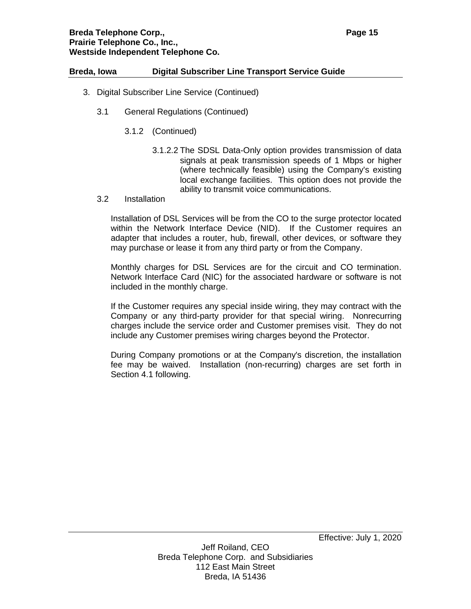### **Breda Telephone Corp., Page 15 Prairie Telephone Co., Inc., Westside Independent Telephone Co.**

### **Breda, Iowa Digital Subscriber Line Transport Service Guide**

- 3. Digital Subscriber Line Service (Continued)
	- 3.1 General Regulations (Continued)
		- 3.1.2 (Continued)
			- 3.1.2.2 The SDSL Data-Only option provides transmission of data signals at peak transmission speeds of 1 Mbps or higher (where technically feasible) using the Company's existing local exchange facilities. This option does not provide the ability to transmit voice communications.
	- 3.2 Installation

Installation of DSL Services will be from the CO to the surge protector located within the Network Interface Device (NID). If the Customer requires an adapter that includes a router, hub, firewall, other devices, or software they may purchase or lease it from any third party or from the Company.

Monthly charges for DSL Services are for the circuit and CO termination. Network Interface Card (NIC) for the associated hardware or software is not included in the monthly charge.

If the Customer requires any special inside wiring, they may contract with the Company or any third-party provider for that special wiring. Nonrecurring charges include the service order and Customer premises visit. They do not include any Customer premises wiring charges beyond the Protector.

During Company promotions or at the Company's discretion, the installation fee may be waived. Installation (non-recurring) charges are set forth in Section 4.1 following.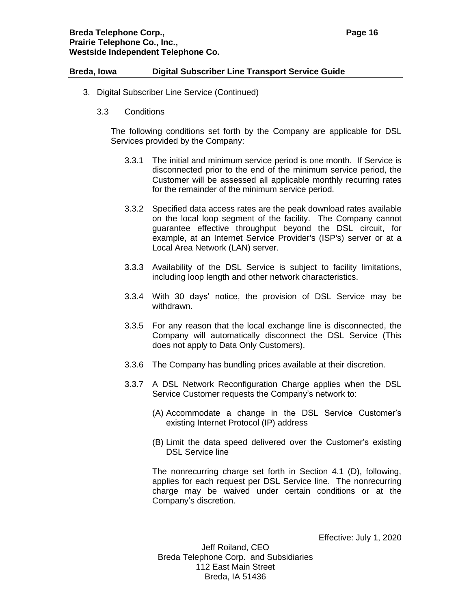- 3. Digital Subscriber Line Service (Continued)
	- 3.3 Conditions

The following conditions set forth by the Company are applicable for DSL Services provided by the Company:

- 3.3.1 The initial and minimum service period is one month. If Service is disconnected prior to the end of the minimum service period, the Customer will be assessed all applicable monthly recurring rates for the remainder of the minimum service period.
- 3.3.2 Specified data access rates are the peak download rates available on the local loop segment of the facility. The Company cannot guarantee effective throughput beyond the DSL circuit, for example, at an Internet Service Provider's (ISP's) server or at a Local Area Network (LAN) server.
- 3.3.3 Availability of the DSL Service is subject to facility limitations, including loop length and other network characteristics.
- 3.3.4 With 30 days' notice, the provision of DSL Service may be withdrawn.
- 3.3.5 For any reason that the local exchange line is disconnected, the Company will automatically disconnect the DSL Service (This does not apply to Data Only Customers).
- 3.3.6 The Company has bundling prices available at their discretion.
- 3.3.7 A DSL Network Reconfiguration Charge applies when the DSL Service Customer requests the Company's network to:
	- (A) Accommodate a change in the DSL Service Customer's existing Internet Protocol (IP) address
	- (B) Limit the data speed delivered over the Customer's existing DSL Service line

The nonrecurring charge set forth in Section 4.1 (D), following, applies for each request per DSL Service line. The nonrecurring charge may be waived under certain conditions or at the Company's discretion.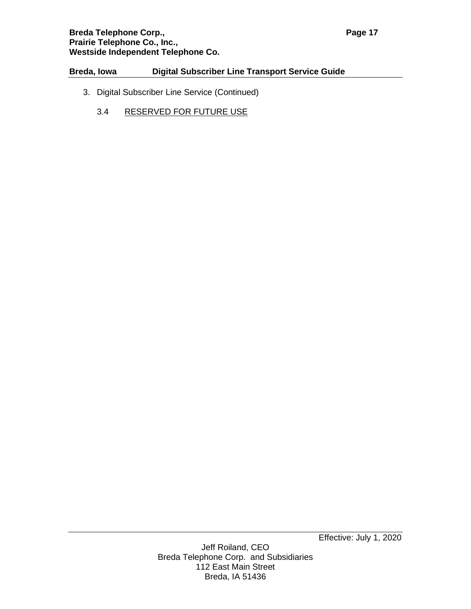## **Breda Telephone Corp., <b>Page 17 Page 17 Prairie Telephone Co., Inc., Westside Independent Telephone Co.**

# **Breda, Iowa Digital Subscriber Line Transport Service Guide**

- 3. Digital Subscriber Line Service (Continued)
	- 3.4 RESERVED FOR FUTURE USE

Effective: July 1, 2020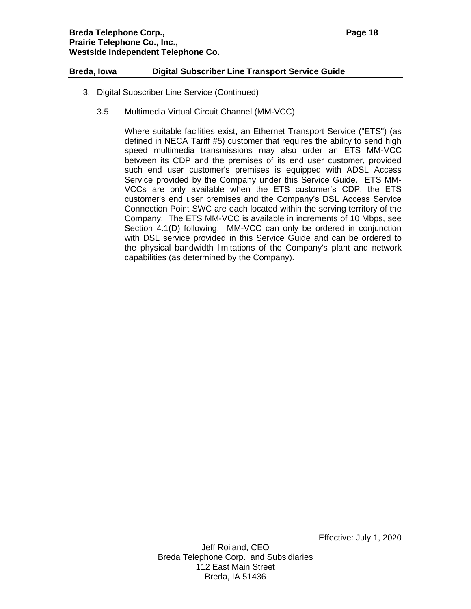- 3. Digital Subscriber Line Service (Continued)
	- 3.5 Multimedia Virtual Circuit Channel (MM-VCC)

Where suitable facilities exist, an Ethernet Transport Service ("ETS") (as defined in NECA Tariff #5) customer that requires the ability to send high speed multimedia transmissions may also order an ETS MM-VCC between its CDP and the premises of its end user customer, provided such end user customer's premises is equipped with ADSL Access Service provided by the Company under this Service Guide. ETS MM-VCCs are only available when the ETS customer's CDP, the ETS customer's end user premises and the Company's DSL Access Service Connection Point SWC are each located within the serving territory of the Company. The ETS MM-VCC is available in increments of 10 Mbps, see Section 4.1(D) following. MM-VCC can only be ordered in conjunction with DSL service provided in this Service Guide and can be ordered to the physical bandwidth limitations of the Company's plant and network capabilities (as determined by the Company).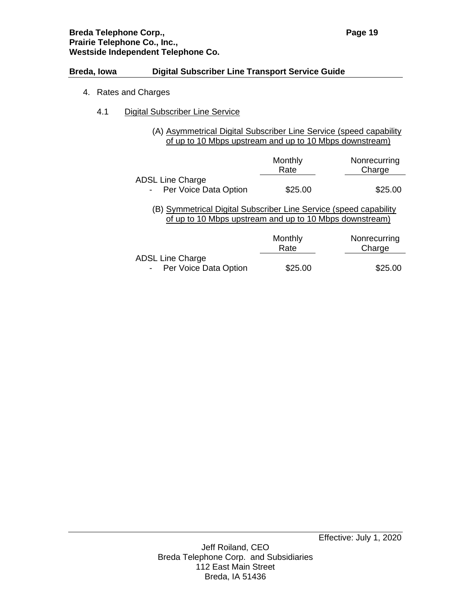## **Breda Telephone Corp., <b>Page 19 Page 19 Prairie Telephone Co., Inc., Westside Independent Telephone Co.**

### **Breda, Iowa Digital Subscriber Line Transport Service Guide**

- 4. Rates and Charges
	- 4.1 Digital Subscriber Line Service
		- (A) Asymmetrical Digital Subscriber Line Service (speed capability of up to 10 Mbps upstream and up to 10 Mbps downstream)

|                                                                                                                              | Monthly<br>Rate | Nonrecurring<br>Charge |  |  |
|------------------------------------------------------------------------------------------------------------------------------|-----------------|------------------------|--|--|
| <b>ADSL Line Charge</b>                                                                                                      |                 |                        |  |  |
| - Per Voice Data Option                                                                                                      | \$25.00         | \$25.00                |  |  |
| (B) Symmetrical Digital Subscriber Line Service (speed capability<br>of up to 10 Mbps upstream and up to 10 Mbps downstream) |                 |                        |  |  |
|                                                                                                                              | Monthly         | Nonrecurring           |  |  |
|                                                                                                                              | Rate            | Charge                 |  |  |
| <b>ADSL Line Charge</b>                                                                                                      |                 |                        |  |  |
| - Per Voice Data Option                                                                                                      | \$25.00         | \$25.00                |  |  |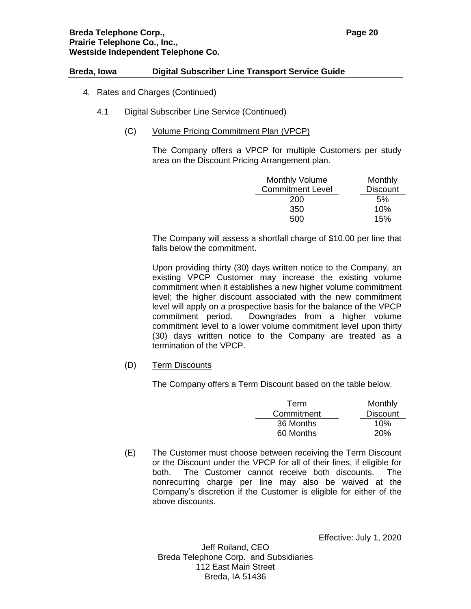- 4. Rates and Charges (Continued)
	- 4.1 Digital Subscriber Line Service (Continued)
		- (C) Volume Pricing Commitment Plan (VPCP)

The Company offers a VPCP for multiple Customers per study area on the Discount Pricing Arrangement plan.

| <b>Monthly Volume</b>   | Monthly         |
|-------------------------|-----------------|
| <b>Commitment Level</b> | <b>Discount</b> |
| 200                     | 5%              |
| 350                     | 10%             |
| 500                     | 15%             |

The Company will assess a shortfall charge of \$10.00 per line that falls below the commitment.

Upon providing thirty (30) days written notice to the Company, an existing VPCP Customer may increase the existing volume commitment when it establishes a new higher volume commitment level; the higher discount associated with the new commitment level will apply on a prospective basis for the balance of the VPCP commitment period. Downgrades from a higher volume commitment level to a lower volume commitment level upon thirty (30) days written notice to the Company are treated as a termination of the VPCP.

(D) Term Discounts

The Company offers a Term Discount based on the table below.

| Term       | Monthly         |
|------------|-----------------|
| Commitment | <b>Discount</b> |
| 36 Months  | 10%             |
| 60 Months  | <b>20%</b>      |

(E) The Customer must choose between receiving the Term Discount or the Discount under the VPCP for all of their lines, if eligible for both. The Customer cannot receive both discounts. The nonrecurring charge per line may also be waived at the Company's discretion if the Customer is eligible for either of the above discounts.